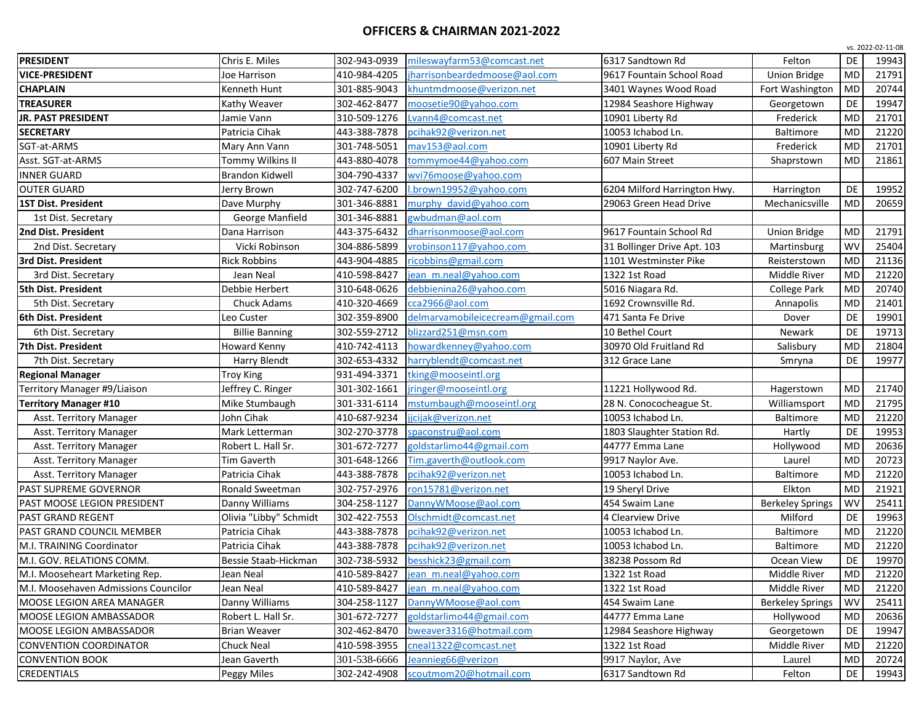## **OFFICERS & CHAIRMAN 2021-2022**

|                                      |                        |              |                                  |                              |                         |           | vs. 2022-02-11-08 |
|--------------------------------------|------------------------|--------------|----------------------------------|------------------------------|-------------------------|-----------|-------------------|
| <b>PRESIDENT</b>                     | Chris E. Miles         | 302-943-0939 | mileswayfarm53@comcast.net       | 6317 Sandtown Rd             | Felton                  | DE        | 19943             |
| <b>VICE-PRESIDENT</b>                | loe Harrison           | 410-984-4205 | jharrisonbeardedmoose@aol.com    | 9617 Fountain School Road    | <b>Union Bridge</b>     | <b>MD</b> | 21791             |
| <b>CHAPLAIN</b>                      | Kenneth Hunt           | 301-885-9043 | khuntmdmoose@verizon.net         | 3401 Waynes Wood Road        | Fort Washington         | <b>MD</b> | 20744             |
| <b>TREASURER</b>                     | Kathy Weaver           | 302-462-8477 | moosetie90@yahoo.com             | 12984 Seashore Highway       | Georgetown              | DE        | 19947             |
| JR. PAST PRESIDENT                   | Jamie Vann             | 310-509-1276 | Lvann4@comcast.net               | 10901 Liberty Rd             | Frederick               | <b>MD</b> | 21701             |
| <b>SECRETARY</b>                     | Patricia Cihak         | 443-388-7878 | pcihak92@verizon.net             | 10053 Ichabod Ln.            | Baltimore               | <b>MD</b> | 21220             |
| SGT-at-ARMS                          | Mary Ann Vann          | 301-748-5051 | mav153@aol.com                   | 10901 Liberty Rd             | Frederick               | <b>MD</b> | 21701             |
| Asst. SGT-at-ARMS                    | Tommy Wilkins II       | 443-880-4078 | tommymoe44@yahoo.com             | 607 Main Street              | Shaprstown              | <b>MD</b> | 21861             |
| <b>INNER GUARD</b>                   | <b>Brandon Kidwell</b> | 304-790-4337 | wvi76moose@yahoo.com             |                              |                         |           |                   |
| <b>OUTER GUARD</b>                   | Jerry Brown            | 302-747-6200 | l.brown19952@yahoo.com           | 6204 Milford Harrington Hwy. | Harrington              | DE        | 19952             |
| 1ST Dist. President                  | Dave Murphy            | 301-346-8881 | murphy david@vahoo.com           | 29063 Green Head Drive       | Mechanicsville          | <b>MD</b> | 20659             |
| 1st Dist. Secretary                  | George Manfield        | 301-346-8881 | gwbudman@aol.com                 |                              |                         |           |                   |
| 2nd Dist. President                  | Dana Harrison          | 443-375-6432 | dharrisonmoose@aol.com           | 9617 Fountain School Rd      | <b>Union Bridge</b>     | <b>MD</b> | 21791             |
| 2nd Dist. Secretary                  | Vicki Robinson         | 304-886-5899 | vrobinson117@yahoo.com           | 31 Bollinger Drive Apt. 103  | Martinsburg             | <b>WV</b> | 25404             |
| 3rd Dist. President                  | <b>Rick Robbins</b>    | 443-904-4885 | ricobbins@gmail.com              | 1101 Westminster Pike        | Reisterstown            | <b>MD</b> | 21136             |
| 3rd Dist. Secretary                  | Jean Neal              | 410-598-8427 | jean m.neal@yahoo.com            | 1322 1st Road                | Middle River            | <b>MD</b> | 21220             |
| 5th Dist. President                  | Debbie Herbert         | 310-648-0626 | debbienina26@yahoo.com           | 5016 Niagara Rd.             | <b>College Park</b>     | <b>MD</b> | 20740             |
| 5th Dist. Secretary                  | Chuck Adams            | 410-320-4669 | cca2966@aol.com                  | 1692 Crownsville Rd.         | Annapolis               | <b>MD</b> | 21401             |
| 6th Dist. President                  | Leo Custer             | 302-359-8900 | delmarvamobileicecream@gmail.com | 471 Santa Fe Drive           | Dover                   | DE        | 19901             |
| 6th Dist. Secretary                  | <b>Billie Banning</b>  | 302-559-2712 | blizzard251@msn.com              | 10 Bethel Court              | Newark                  | DE        | 19713             |
| 7th Dist. President                  | Howard Kenny           | 410-742-4113 | howardkenney@yahoo.com           | 30970 Old Fruitland Rd       | Salisbury               | <b>MD</b> | 21804             |
| 7th Dist. Secretary                  | Harry Blendt           | 302-653-4332 | harryblendt@comcast.net          | 312 Grace Lane               | Smryna                  | DE        | 19977             |
| <b>Regional Manager</b>              | Troy King              | 931-494-3371 | tking@mooseintl.org              |                              |                         |           |                   |
| Territory Manager #9/Liaison         | Jeffrey C. Ringer      | 301-302-1661 | jringer@mooseintl.org            | 11221 Hollywood Rd.          | Hagerstown              | MD        | 21740             |
| <b>Territory Manager #10</b>         | Mike Stumbaugh         | 301-331-6114 | mstumbaugh@mooseintl.org         | 28 N. Conococheague St.      | Williamsport            | MD        | 21795             |
| Asst. Territory Manager              | John Cihak             | 410-687-9234 | jjcijak@verizon.net              | 10053 Ichabod Ln.            | <b>Baltimore</b>        | <b>MD</b> | 21220             |
| Asst. Territory Manager              | Mark Letterman         | 302-270-3778 | spaconstru@aol.com               | 1803 Slaughter Station Rd.   | Hartly                  | DE        | 19953             |
| Asst. Territory Manager              | Robert L. Hall Sr.     | 301-672-7277 | goldstarlimo44@gmail.com         | 44777 Emma Lane              | Hollywood               | <b>MD</b> | 20636             |
| Asst. Territory Manager              | <b>Tim Gaverth</b>     | 301-648-1266 | Tim.gaverth@outlook.com          | 9917 Naylor Ave.             | Laurel                  | <b>MD</b> | 20723             |
| Asst. Territory Manager              | Patricia Cihak         | 443-388-7878 | pcihak92@verizon.net             | 10053 Ichabod Ln.            | <b>Baltimore</b>        | <b>MD</b> | 21220             |
| PAST SUPREME GOVERNOR                | Ronald Sweetman        | 302-757-2976 | ron15781@verizon.net             | 19 Sheryl Drive              | Elkton                  | <b>MD</b> | 21921             |
| PAST MOOSE LEGION PRESIDENT          | Danny Williams         | 304-258-1127 | DannyWMoose@aol.com              | 454 Swaim Lane               | <b>Berkeley Springs</b> | WV        | 25411             |
| PAST GRAND REGENT                    | Olivia "Libby" Schmidt | 302-422-7553 | Olschmidt@comcast.net            | 4 Clearview Drive            | Milford                 | DE        | 19963             |
| PAST GRAND COUNCIL MEMBER            | Patricia Cihak         | 443-388-7878 | pcihak92@verizon.net             | 10053 Ichabod Ln.            | <b>Baltimore</b>        | <b>MD</b> | 21220             |
| M.I. TRAINING Coordinator            | Patricia Cihak         | 443-388-7878 | pcihak92@verizon.net             | 10053 Ichabod Ln.            | Baltimore               | <b>MD</b> | 21220             |
| M.I. GOV. RELATIONS COMM.            | Bessie Staab-Hickman   | 302-738-5932 | besshick23@gmail.com             | 38238 Possom Rd              | Ocean View              | DE        | 19970             |
| M.I. Mooseheart Marketing Rep.       | Jean Neal              | 410-589-8427 | jean m.neal@yahoo.com            | 1322 1st Road                | Middle River            | MD        | 21220             |
| M.I. Moosehaven Admissions Councilor | Jean Neal              | 410-589-8427 | jean m.neal@yahoo.com            | 1322 1st Road                | Middle River            | MD        | 21220             |
| MOOSE LEGION AREA MANAGER            | Danny Williams         | 304-258-1127 | DannyWMoose@aol.com              | 454 Swaim Lane               | <b>Berkeley Springs</b> | WV        | 25411             |
| MOOSE LEGION AMBASSADOR              | Robert L. Hall Sr.     | 301-672-7277 | goldstarlimo44@gmail.com         | 44777 Emma Lane              | Hollywood               | MD        | 20636             |
| MOOSE LEGION AMBASSADOR              | <b>Brian Weaver</b>    | 302-462-8470 | bweaver3316@hotmail.com          | 12984 Seashore Highway       | Georgetown              | DE        | 19947             |
| <b>CONVENTION COORDINATOR</b>        | Chuck Neal             | 410-598-3955 | cneal1322@comcast.net            | 1322 1st Road                | Middle River            | <b>MD</b> | 21220             |
| <b>CONVENTION BOOK</b>               | Jean Gaverth           | 301-538-6666 | Jeannieg66@verizon               | 9917 Naylor, Ave             | Laurel                  | <b>MD</b> | 20724             |
| CREDENTIALS                          | Peggy Miles            | 302-242-4908 | scoutmom20@hotmail.com           | 6317 Sandtown Rd             | Felton                  | DE        | 19943             |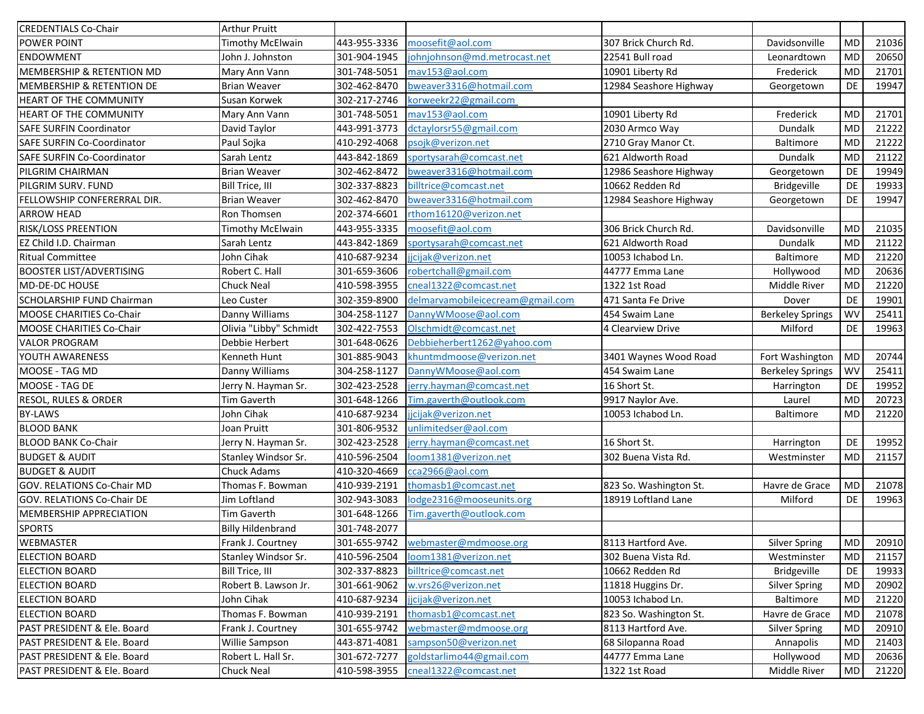| <b>CREDENTIALS Co-Chair</b>          | <b>Arthur Pruitt</b>     |              |                                    |                        |                         |            |       |
|--------------------------------------|--------------------------|--------------|------------------------------------|------------------------|-------------------------|------------|-------|
| POWER POINT                          | <b>Timothy McElwain</b>  | 443-955-3336 | moosefit@aol.com                   | 307 Brick Church Rd.   | Davidsonville           | <b>MD</b>  | 21036 |
| <b>ENDOWMENT</b>                     | John J. Johnston         | 301-904-1945 | johnjohnson@md.metrocast.net       | 22541 Bull road        | Leonardtown             | <b>MD</b>  | 20650 |
| MEMBERSHIP & RETENTION MD            | Mary Ann Vann            | 301-748-5051 | mav153@aol.com                     | 10901 Liberty Rd       | Frederick               | <b>MD</b>  | 21701 |
| <b>MEMBERSHIP &amp; RETENTION DE</b> | <b>Brian Weaver</b>      | 302-462-8470 | bweaver3316@hotmail.com            | 12984 Seashore Highway | Georgetown              | DE         | 19947 |
| HEART OF THE COMMUNITY               | Susan Korwek             | 302-217-2746 | korweekr22@gmail.com               |                        |                         |            |       |
| HEART OF THE COMMUNITY               | Mary Ann Vann            | 301-748-5051 | mav153@aol.com                     | 10901 Liberty Rd       | Frederick               | <b>MD</b>  | 21701 |
| <b>SAFE SURFIN Coordinator</b>       | David Taylor             | 443-991-3773 | dctaylorsr55@gmail.com             | 2030 Armco Way         | Dundalk                 | <b>MD</b>  | 21222 |
| SAFE SURFIN Co-Coordinator           | Paul Sojka               | 410-292-4068 | psojk@verizon.net                  | 2710 Gray Manor Ct.    | Baltimore               | <b>MD</b>  | 21222 |
| <b>SAFE SURFIN Co-Coordinator</b>    | Sarah Lentz              | 443-842-1869 | sportysarah@comcast.net            | 621 Aldworth Road      | Dundalk                 | <b>MD</b>  | 21122 |
| PILGRIM CHAIRMAN                     | <b>Brian Weaver</b>      | 302-462-8472 | bweaver3316@hotmail.com            | 12986 Seashore Highway | Georgetown              | DE         | 19949 |
| PILGRIM SURV. FUND                   | Bill Trice, III          | 302-337-8823 | billtrice@comcast.net              | 10662 Redden Rd        | Bridgeville             | DE         | 19933 |
| FELLOWSHIP CONFERERRAL DIR.          | <b>Brian Weaver</b>      | 302-462-8470 | bweaver3316@hotmail.com            | 12984 Seashore Highway | Georgetown              | <b>DE</b>  | 19947 |
| <b>ARROW HEAD</b>                    | Ron Thomsen              | 202-374-6601 | rthom16120@verizon.net             |                        |                         |            |       |
| RISK/LOSS PREENTION                  | <b>Timothy McElwain</b>  | 443-955-3335 | moosefit@aol.com                   | 306 Brick Church Rd.   | Davidsonville           | <b>MD</b>  | 21035 |
| EZ Child I.D. Chairman               | Sarah Lentz              | 443-842-1869 | sportysarah@comcast.net            | 621 Aldworth Road      | Dundalk                 | <b>MD</b>  | 21122 |
| <b>Ritual Committee</b>              | John Cihak               | 410-687-9234 | jicijak@verizon.net                | 10053 Ichabod Ln.      | Baltimore               | MD         | 21220 |
| <b>BOOSTER LIST/ADVERTISING</b>      | Robert C. Hall           | 301-659-3606 | robertchall@gmail.com              | 44777 Emma Lane        | Hollywood               | MD         | 20636 |
| MD-DE-DC HOUSE                       | Chuck Neal               | 410-598-3955 | cneal1322@comcast.net              | 1322 1st Road          | Middle River            | <b>MD</b>  | 21220 |
| SCHOLARSHIP FUND Chairman            | Leo Custer               | 302-359-8900 | delmarvamobileicecream@gmail.com   | 471 Santa Fe Drive     | Dover                   | DE         | 19901 |
| MOOSE CHARITIES Co-Chair             | Danny Williams           | 304-258-1127 | DannyWMoose@aol.com                | 454 Swaim Lane         | <b>Berkeley Springs</b> | <b>WV</b>  | 25411 |
| MOOSE CHARITIES Co-Chair             | Olivia "Libby" Schmidt   | 302-422-7553 | Olschmidt@comcast.net              | 4 Clearview Drive      | Milford                 | DE         | 19963 |
| <b>VALOR PROGRAM</b>                 | Debbie Herbert           | 301-648-0626 | Debbieherbert1262@yahoo.com        |                        |                         |            |       |
| YOUTH AWARENESS                      | Kenneth Hunt             | 301-885-9043 | khuntmdmoose@verizon.net           | 3401 Waynes Wood Road  | Fort Washington         | <b>MD</b>  | 20744 |
| MOOSE - TAG MD                       | Danny Williams           | 304-258-1127 | DannyWMoose@aol.com                | 454 Swaim Lane         | <b>Berkeley Springs</b> | WV         | 25411 |
| MOOSE - TAG DE                       | Jerry N. Hayman Sr.      | 302-423-2528 | jerry.hayman@comcast.net           | 16 Short St.           | Harrington              | DE         | 19952 |
| RESOL, RULES & ORDER                 | Tim Gaverth              | 301-648-1266 | Tim.gaverth@outlook.com            | 9917 Naylor Ave.       | Laurel                  | <b>MD</b>  | 20723 |
| <b>BY-LAWS</b>                       | John Cihak               | 410-687-9234 | jjcijak@verizon.net                | 10053 Ichabod Ln.      | <b>Baltimore</b>        | <b>MD</b>  | 21220 |
| <b>BLOOD BANK</b>                    | Joan Pruitt              | 301-806-9532 | unlimitedser@aol.com               |                        |                         |            |       |
| <b>BLOOD BANK Co-Chair</b>           | Jerry N. Hayman Sr.      | 302-423-2528 | jerry.hayman@comcast.net           | 16 Short St.           | Harrington              | DE         | 19952 |
| <b>BUDGET &amp; AUDIT</b>            | Stanley Windsor Sr.      | 410-596-2504 | loom1381@verizon.net               | 302 Buena Vista Rd.    | Westminster             | <b>MD</b>  | 21157 |
| <b>BUDGET &amp; AUDIT</b>            | <b>Chuck Adams</b>       | 410-320-4669 | cca2966@aol.com                    |                        |                         |            |       |
| GOV. RELATIONS Co-Chair MD           | Thomas F. Bowman         | 410-939-2191 | thomasb1@comcast.net               | 823 So. Washington St. | Havre de Grace          | <b>MD</b>  | 21078 |
| <b>GOV. RELATIONS Co-Chair DE</b>    | Jim Loftland             | 302-943-3083 | lodge2316@mooseunits.org           | 18919 Loftland Lane    | Milford                 | DE         | 19963 |
| MEMBERSHIP APPRECIATION              | Tim Gaverth              | 301-648-1266 | Tim.gaverth@outlook.com            |                        |                         |            |       |
| <b>SPORTS</b>                        | <b>Billy Hildenbrand</b> | 301-748-2077 |                                    |                        |                         |            |       |
| <b>WEBMASTER</b>                     | Frank J. Courtney        |              | 301-655-9742 webmaster@mdmoose.org | 8113 Hartford Ave.     | <b>Silver Spring</b>    | ${\sf MD}$ | 20910 |
| <b>ELECTION BOARD</b>                | Stanley Windsor Sr.      | 410-596-2504 | loom1381@verizon.net               | 302 Buena Vista Rd.    | Westminster             | MD         | 21157 |
| <b>ELECTION BOARD</b>                | Bill Trice, III          | 302-337-8823 | billtrice@comcast.net              | 10662 Redden Rd        | <b>Bridgeville</b>      | DE         | 19933 |
| <b>ELECTION BOARD</b>                | Robert B. Lawson Jr.     | 301-661-9062 | w.vrs26@verizon.net                | 11818 Huggins Dr.      | <b>Silver Spring</b>    | MD         | 20902 |
| <b>ELECTION BOARD</b>                | John Cihak               | 410-687-9234 | jicijak@verizon.net                | 10053 Ichabod Ln.      | Baltimore               | MD         | 21220 |
| <b>ELECTION BOARD</b>                | Thomas F. Bowman         | 410-939-2191 | thomasb1@comcast.net               | 823 So. Washington St. | Havre de Grace          | MD         | 21078 |
| PAST PRESIDENT & Ele. Board          | Frank J. Courtney        | 301-655-9742 | webmaster@mdmoose.org              | 8113 Hartford Ave.     | Silver Spring           | MD         | 20910 |
| PAST PRESIDENT & Ele. Board          | Willie Sampson           | 443-871-4081 | sampson50@verizon.net              | 68 Silopanna Road      | Annapolis               | MD         | 21403 |
| PAST PRESIDENT & Ele. Board          | Robert L. Hall Sr.       | 301-672-7277 | goldstarlimo44@gmail.com           | 44777 Emma Lane        | Hollywood               | MD         | 20636 |
| PAST PRESIDENT & Ele. Board          | Chuck Neal               | 410-598-3955 | cneal1322@comcast.net              | 1322 1st Road          | Middle River            | MD         | 21220 |